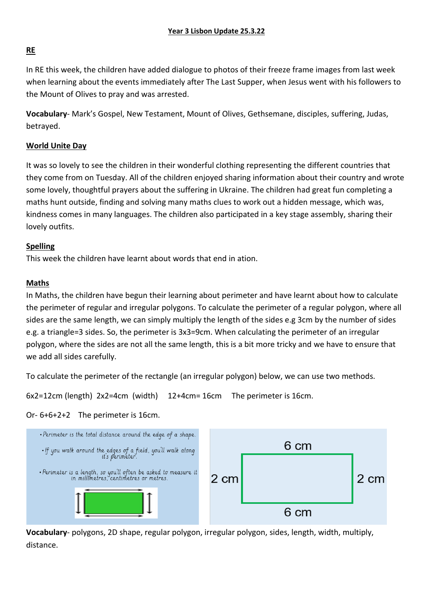# **RE**

In RE this week, the children have added dialogue to photos of their freeze frame images from last week when learning about the events immediately after The Last Supper, when Jesus went with his followers to the Mount of Olives to pray and was arrested.

**Vocabulary**- Mark's Gospel, New Testament, Mount of Olives, Gethsemane, disciples, suffering, Judas, betrayed.

# **World Unite Day**

It was so lovely to see the children in their wonderful clothing representing the different countries that they come from on Tuesday. All of the children enjoyed sharing information about their country and wrote some lovely, thoughtful prayers about the suffering in Ukraine. The children had great fun completing a maths hunt outside, finding and solving many maths clues to work out a hidden message, which was, kindness comes in many languages. The children also participated in a key stage assembly, sharing their lovely outfits.

## **Spelling**

This week the children have learnt about words that end in ation.

# **Maths**

In Maths, the children have begun their learning about perimeter and have learnt about how to calculate the perimeter of regular and irregular polygons. To calculate the perimeter of a regular polygon, where all sides are the same length, we can simply multiply the length of the sides e.g 3cm by the number of sides e.g. a triangle=3 sides. So, the perimeter is 3x3=9cm. When calculating the perimeter of an irregular polygon, where the sides are not all the same length, this is a bit more tricky and we have to ensure that we add all sides carefully.

To calculate the perimeter of the rectangle (an irregular polygon) below, we can use two methods.

6x2=12cm (length) 2x2=4cm (width) 12+4cm= 16cm The perimeter is 16cm.

## Or- 6+6+2+2 The perimeter is 16cm.



**Vocabulary**- polygons, 2D shape, regular polygon, irregular polygon, sides, length, width, multiply, distance.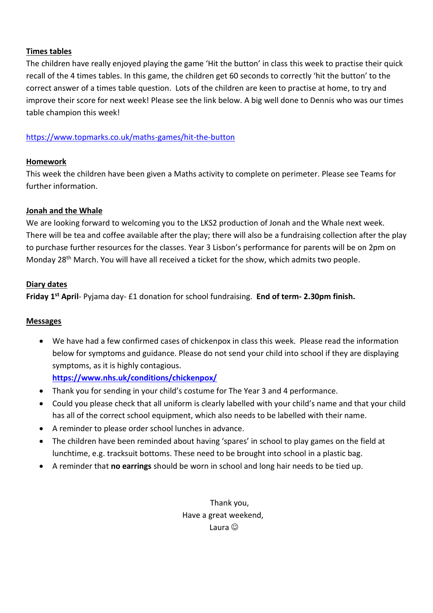## **Times tables**

The children have really enjoyed playing the game 'Hit the button' in class this week to practise their quick recall of the 4 times tables. In this game, the children get 60 seconds to correctly 'hit the button' to the correct answer of a times table question. Lots of the children are keen to practise at home, to try and improve their score for next week! Please see the link below. A big well done to Dennis who was our times table champion this week!

<https://www.topmarks.co.uk/maths-games/hit-the-button>

# **Homework**

This week the children have been given a Maths activity to complete on perimeter. Please see Teams for further information.

## **Jonah and the Whale**

We are looking forward to welcoming you to the LKS2 production of Jonah and the Whale next week. There will be tea and coffee available after the play; there will also be a fundraising collection after the play to purchase further resources for the classes. Year 3 Lisbon's performance for parents will be on 2pm on Monday 28th March. You will have all received a ticket for the show, which admits two people.

## **Diary dates**

**Friday 1st April**- Pyjama day- £1 donation for school fundraising. **End of term- 2.30pm finish.**

## **Messages**

 We have had a few confirmed cases of chickenpox in class this week. Please read the information below for symptoms and guidance. Please do not send your child into school if they are displaying symptoms, as it is highly contagious.

**<https://www.nhs.uk/conditions/chickenpox/>**

- Thank you for sending in your child's costume for The Year 3 and 4 performance.
- Could you please check that all uniform is clearly labelled with your child's name and that your child has all of the correct school equipment, which also needs to be labelled with their name.
- A reminder to please order school lunches in advance.
- The children have been reminded about having 'spares' in school to play games on the field at lunchtime, e.g. tracksuit bottoms. These need to be brought into school in a plastic bag.
- A reminder that **no earrings** should be worn in school and long hair needs to be tied up.

Thank you, Have a great weekend, Laura $\circledcirc$